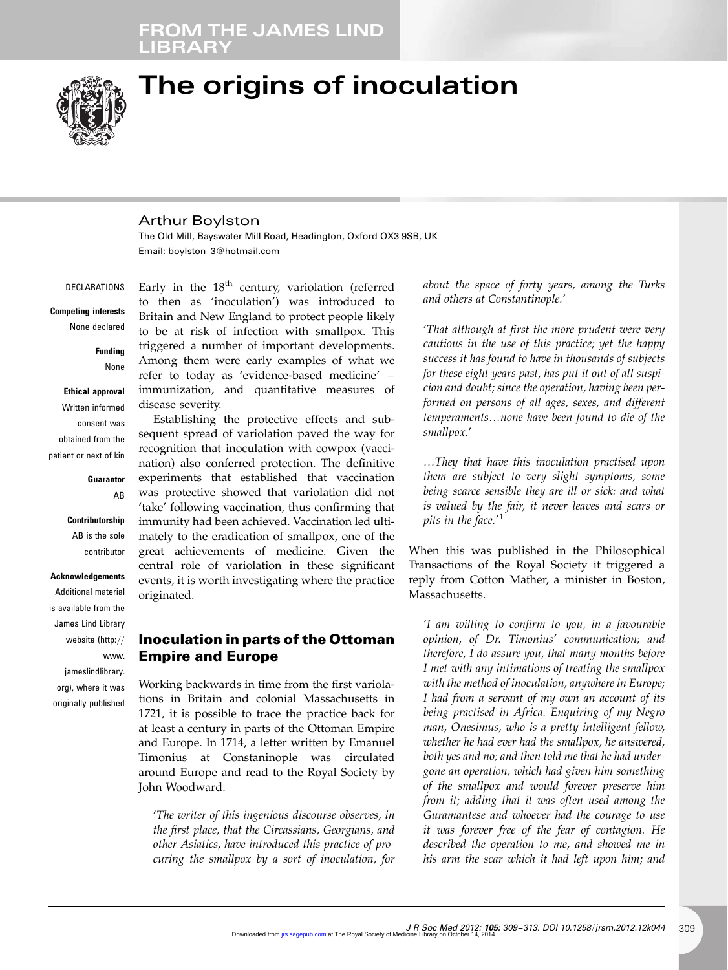

# The origins of inoculation

# Arthur Boylston

The Old Mill, Bayswater Mill Road, Headington, Oxford OX3 9SB, UK Email: [boylston\\_3@hotmail.com](mailto:boylston_3@hotmail.com)

#### DECLARATIONS

Competing interests None declared

# Funding

None

Ethical approval Written informed consent was obtained from the patient or next of kin

#### Guarantor

AB

Contributorship

AB is the sole contributor

#### Acknowledgements

Additional material is available from the James Lind Library website [\(http:](http://www.jameslindlibrary.org)// [www.](http://www.jameslindlibrary.org) [jameslindlibrary.](http://www.jameslindlibrary.org) [org\)](http://www.jameslindlibrary.org), where it was originally published

Early in the  $18<sup>th</sup>$  century, variolation (referred to then as 'inoculation') was introduced to Britain and New England to protect people likely to be at risk of infection with smallpox. This triggered a number of important developments. Among them were early examples of what we refer to today as 'evidence-based medicine' – immunization, and quantitative measures of disease severity.

Establishing the protective effects and subsequent spread of variolation paved the way for recognition that inoculation with cowpox (vaccination) also conferred protection. The definitive experiments that established that vaccination was protective showed that variolation did not 'take' following vaccination, thus confirming that immunity had been achieved. Vaccination led ultimately to the eradication of smallpox, one of the great achievements of medicine. Given the central role of variolation in these significant events, it is worth investigating where the practice originated.

# Inoculation in parts of the Ottoman Empire and Europe

Working backwards in time from the first variolations in Britain and colonial Massachusetts in 1721, it is possible to trace the practice back for at least a century in parts of the Ottoman Empire and Europe. In 1714, a letter written by Emanuel Timonius at Constaninople was circulated around Europe and read to the Royal Society by John Woodward.

'The writer of this ingenious discourse observes, in the first place, that the Circassians, Georgians, and other Asiatics, have introduced this practice of procuring the smallpox by a sort of inoculation, for about the space of forty years, among the Turks and others at Constantinople.'

'That although at first the more prudent were very cautious in the use of this practice; yet the happy success it has found to have in thousands of subjects for these eight years past, has put it out of all suspicion and doubt; since the operation, having been performed on persons of all ages, sexes, and different temperaments…none have been found to die of the smallpox.'

…They that have this inoculation practised upon them are subject to very slight symptoms, some being scarce sensible they are ill or sick: and what is valued by the fair, it never leaves and scars or pits in the face.<sup>'1</sup>

When this was published in the Philosophical Transactions of the Royal Society it triggered a reply from Cotton Mather, a minister in Boston, Massachusetts.

'I am willing to confirm to you, in a favourable opinion, of Dr. Timonius' communication; and therefore, I do assure you, that many months before I met with any intimations of treating the smallpox with the method of inoculation, anywhere in Europe; I had from a servant of my own an account of its being practised in Africa. Enquiring of my Negro man, Onesimus, who is a pretty intelligent fellow, whether he had ever had the smallpox, he answered, both yes and no; and then told me that he had undergone an operation, which had given him something of the smallpox and would forever preserve him from it; adding that it was often used among the Guramantese and whoever had the courage to use it was forever free of the fear of contagion. He described the operation to me, and showed me in his arm the scar which it had left upon him; and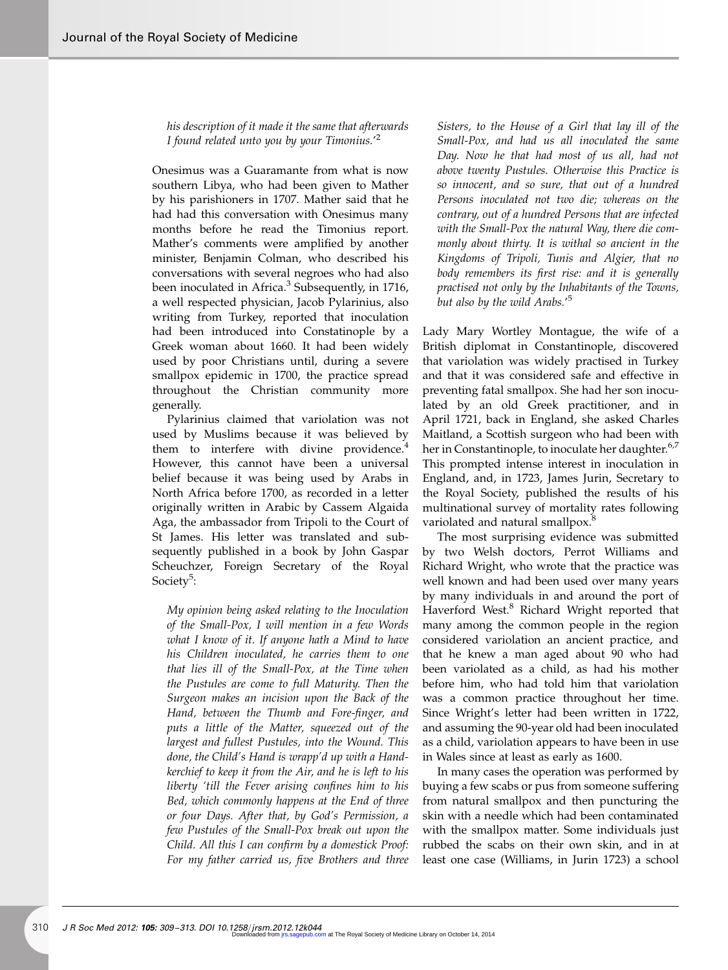his description of it made it the same that afterwards I found related unto you by your Timonius.'<sup>2</sup>

Onesimus was a Guaramante from what is now southern Libya, who had been given to Mather by his parishioners in 1707. Mather said that he had had this conversation with Onesimus many months before he read the Timonius report. Mather's comments were amplified by another minister, Benjamin Colman, who described his conversations with several negroes who had also been inoculated in Africa.<sup>3</sup> Subsequently, in 1716, a well respected physician, Jacob Pylarinius, also writing from Turkey, reported that inoculation had been introduced into Constatinople by a Greek woman about 1660. It had been widely used by poor Christians until, during a severe smallpox epidemic in 1700, the practice spread throughout the Christian community more generally.

Pylarinius claimed that variolation was not used by Muslims because it was believed by them to interfere with divine providence.<sup>4</sup> However, this cannot have been a universal belief because it was being used by Arabs in North Africa before 1700, as recorded in a letter originally written in Arabic by Cassem Algaida Aga, the ambassador from Tripoli to the Court of St James. His letter was translated and subsequently published in a book by John Gaspar Scheuchzer, Foreign Secretary of the Royal Society<sup>5</sup>:

My opinion being asked relating to the Inoculation of the Small-Pox, I will mention in a few Words what I know of it. If anyone hath a Mind to have his Children inoculated, he carries them to one that lies ill of the Small-Pox, at the Time when the Pustules are come to full Maturity. Then the Surgeon makes an incision upon the Back of the Hand, between the Thumb and Fore-finger, and puts a little of the Matter, squeezed out of the largest and fullest Pustules, into the Wound. This done, the Child's Hand is wrapp'd up with a Handkerchief to keep it from the Air, and he is left to his liberty 'till the Fever arising confines him to his Bed, which commonly happens at the End of three or four Days. After that, by God's Permission, a few Pustules of the Small-Pox break out upon the Child. All this I can confirm by a domestick Proof: For my father carried us, five Brothers and three Sisters, to the House of a Girl that lay ill of the Small-Pox, and had us all inoculated the same Day. Now he that had most of us all, had not above twenty Pustules. Otherwise this Practice is so innocent, and so sure, that out of a hundred Persons inoculated not two die; whereas on the contrary, out of a hundred Persons that are infected with the Small-Pox the natural Way, there die commonly about thirty. It is withal so ancient in the Kingdoms of Tripoli, Tunis and Algier, that no body remembers its first rise: and it is generally practised not only by the Inhabitants of the Towns, but also by the wild Arabs.'<sup>5</sup>

Lady Mary Wortley Montague, the wife of a British diplomat in Constantinople, discovered that variolation was widely practised in Turkey and that it was considered safe and effective in preventing fatal smallpox. She had her son inoculated by an old Greek practitioner, and in April 1721, back in England, she asked Charles Maitland, a Scottish surgeon who had been with her in Constantinople, to inoculate her daughter.<sup>6,7</sup> This prompted intense interest in inoculation in England, and, in 1723, James Jurin, Secretary to the Royal Society, published the results of his multinational survey of mortality rates following variolated and natural smallpox.<sup>8</sup>

The most surprising evidence was submitted by two Welsh doctors, Perrot Williams and Richard Wright, who wrote that the practice was well known and had been used over many years by many individuals in and around the port of Haverford West.<sup>8</sup> Richard Wright reported that many among the common people in the region considered variolation an ancient practice, and that he knew a man aged about 90 who had been variolated as a child, as had his mother before him, who had told him that variolation was a common practice throughout her time. Since Wright's letter had been written in 1722, and assuming the 90-year old had been inoculated as a child, variolation appears to have been in use in Wales since at least as early as 1600.

In many cases the operation was performed by buying a few scabs or pus from someone suffering from natural smallpox and then puncturing the skin with a needle which had been contaminated with the smallpox matter. Some individuals just rubbed the scabs on their own skin, and in at least one case (Williams, in Jurin 1723) a school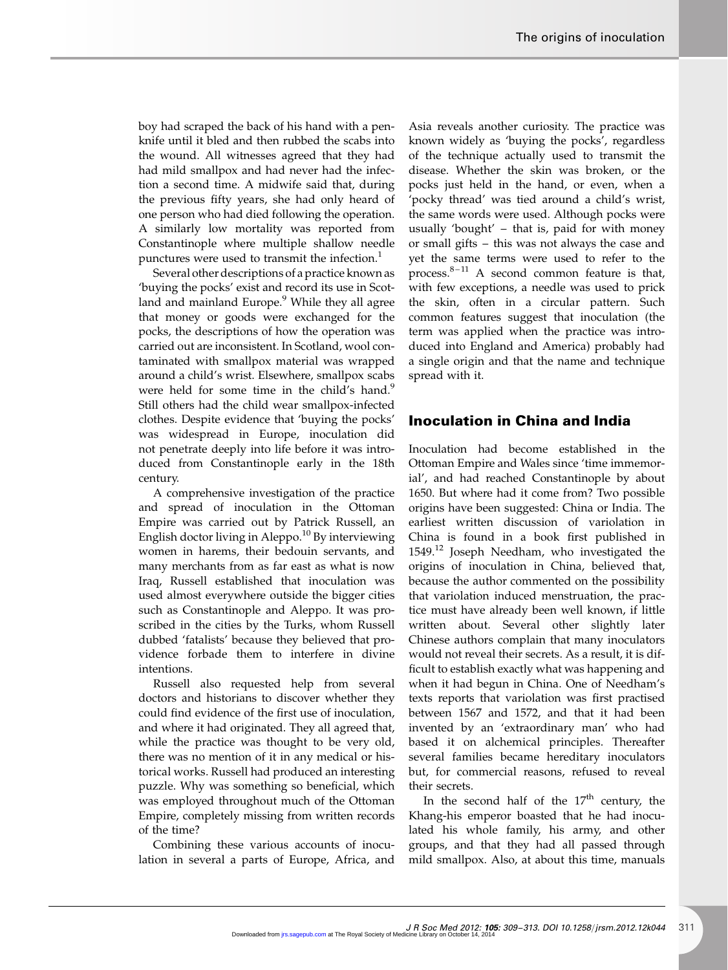boy had scraped the back of his hand with a penknife until it bled and then rubbed the scabs into the wound. All witnesses agreed that they had had mild smallpox and had never had the infection a second time. A midwife said that, during the previous fifty years, she had only heard of one person who had died following the operation. A similarly low mortality was reported from Constantinople where multiple shallow needle punctures were used to transmit the infection. $<sup>1</sup>$ </sup>

Several other descriptions of a practice known as 'buying the pocks' exist and record its use in Scotland and mainland Europe.<sup>9</sup> While they all agree that money or goods were exchanged for the pocks, the descriptions of how the operation was carried out are inconsistent. In Scotland, wool contaminated with smallpox material was wrapped around a child's wrist. Elsewhere, smallpox scabs were held for some time in the child's hand.<sup>9</sup> Still others had the child wear smallpox-infected clothes. Despite evidence that 'buying the pocks' was widespread in Europe, inoculation did not penetrate deeply into life before it was introduced from Constantinople early in the 18th century.

A comprehensive investigation of the practice and spread of inoculation in the Ottoman Empire was carried out by Patrick Russell, an English doctor living in Aleppo. $10$  By interviewing women in harems, their bedouin servants, and many merchants from as far east as what is now Iraq, Russell established that inoculation was used almost everywhere outside the bigger cities such as Constantinople and Aleppo. It was proscribed in the cities by the Turks, whom Russell dubbed 'fatalists' because they believed that providence forbade them to interfere in divine intentions.

Russell also requested help from several doctors and historians to discover whether they could find evidence of the first use of inoculation, and where it had originated. They all agreed that, while the practice was thought to be very old, there was no mention of it in any medical or historical works. Russell had produced an interesting puzzle. Why was something so beneficial, which was employed throughout much of the Ottoman Empire, completely missing from written records of the time?

Combining these various accounts of inoculation in several a parts of Europe, Africa, and Asia reveals another curiosity. The practice was known widely as 'buying the pocks', regardless of the technique actually used to transmit the disease. Whether the skin was broken, or the pocks just held in the hand, or even, when a 'pocky thread' was tied around a child's wrist, the same words were used. Although pocks were usually 'bought' – that is, paid for with money or small gifts – this was not always the case and yet the same terms were used to refer to the process. $8-11$  A second common feature is that, with few exceptions, a needle was used to prick the skin, often in a circular pattern. Such common features suggest that inoculation (the term was applied when the practice was introduced into England and America) probably had a single origin and that the name and technique spread with it.

## Inoculation in China and India

Inoculation had become established in the Ottoman Empire and Wales since 'time immemorial', and had reached Constantinople by about 1650. But where had it come from? Two possible origins have been suggested: China or India. The earliest written discussion of variolation in China is found in a book first published in 1549.<sup>12</sup> Joseph Needham, who investigated the origins of inoculation in China, believed that, because the author commented on the possibility that variolation induced menstruation, the practice must have already been well known, if little written about. Several other slightly later Chinese authors complain that many inoculators would not reveal their secrets. As a result, it is difficult to establish exactly what was happening and when it had begun in China. One of Needham's texts reports that variolation was first practised between 1567 and 1572, and that it had been invented by an 'extraordinary man' who had based it on alchemical principles. Thereafter several families became hereditary inoculators but, for commercial reasons, refused to reveal their secrets.

In the second half of the  $17<sup>th</sup>$  century, the Khang-his emperor boasted that he had inoculated his whole family, his army, and other groups, and that they had all passed through mild smallpox. Also, at about this time, manuals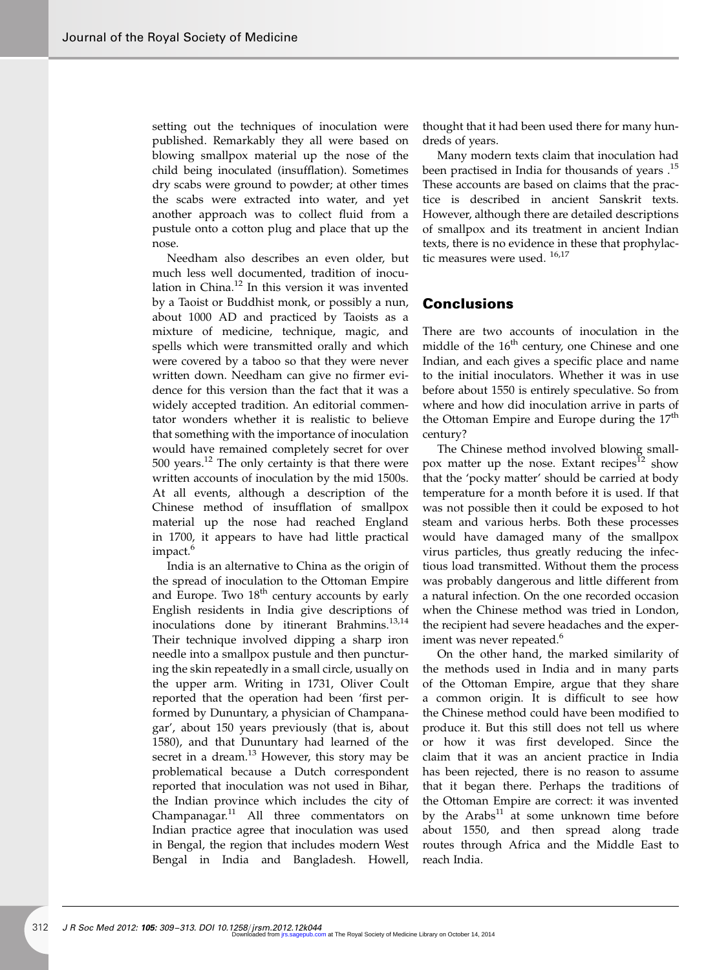setting out the techniques of inoculation were published. Remarkably they all were based on blowing smallpox material up the nose of the child being inoculated (insufflation). Sometimes dry scabs were ground to powder; at other times the scabs were extracted into water, and yet another approach was to collect fluid from a pustule onto a cotton plug and place that up the nose.

Needham also describes an even older, but much less well documented, tradition of inoculation in China. $12$  In this version it was invented by a Taoist or Buddhist monk, or possibly a nun, about 1000 AD and practiced by Taoists as a mixture of medicine, technique, magic, and spells which were transmitted orally and which were covered by a taboo so that they were never written down. Needham can give no firmer evidence for this version than the fact that it was a widely accepted tradition. An editorial commentator wonders whether it is realistic to believe that something with the importance of inoculation would have remained completely secret for over  $500$  years.<sup>12</sup> The only certainty is that there were written accounts of inoculation by the mid 1500s. At all events, although a description of the Chinese method of insufflation of smallpox material up the nose had reached England in 1700, it appears to have had little practical impact.<sup>6</sup>

India is an alternative to China as the origin of the spread of inoculation to the Ottoman Empire and Europe. Two  $18<sup>th</sup>$  century accounts by early English residents in India give descriptions of inoculations done by itinerant Brahmins.<sup>13,14</sup> Their technique involved dipping a sharp iron needle into a smallpox pustule and then puncturing the skin repeatedly in a small circle, usually on the upper arm. Writing in 1731, Oliver Coult reported that the operation had been 'first performed by Dununtary, a physician of Champanagar', about 150 years previously (that is, about 1580), and that Dununtary had learned of the secret in a dream. $^{13}$  However, this story may be problematical because a Dutch correspondent reported that inoculation was not used in Bihar, the Indian province which includes the city of Champanagar.<sup>11</sup> All three commentators on Indian practice agree that inoculation was used in Bengal, the region that includes modern West Bengal in India and Bangladesh. Howell,

thought that it had been used there for many hundreds of years.

Many modern texts claim that inoculation had been practised in India for thousands of years.<sup>15</sup> These accounts are based on claims that the practice is described in ancient Sanskrit texts. However, although there are detailed descriptions of smallpox and its treatment in ancient Indian texts, there is no evidence in these that prophylactic measures were used. 16,17

## **Conclusions**

There are two accounts of inoculation in the middle of the  $16<sup>th</sup>$  century, one Chinese and one Indian, and each gives a specific place and name to the initial inoculators. Whether it was in use before about 1550 is entirely speculative. So from where and how did inoculation arrive in parts of the Ottoman Empire and Europe during the 17<sup>th</sup> century?

The Chinese method involved blowing smallpox matter up the nose. Extant  $recipes^{12}$  show that the 'pocky matter' should be carried at body temperature for a month before it is used. If that was not possible then it could be exposed to hot steam and various herbs. Both these processes would have damaged many of the smallpox virus particles, thus greatly reducing the infectious load transmitted. Without them the process was probably dangerous and little different from a natural infection. On the one recorded occasion when the Chinese method was tried in London, the recipient had severe headaches and the experiment was never repeated.<sup>6</sup>

On the other hand, the marked similarity of the methods used in India and in many parts of the Ottoman Empire, argue that they share a common origin. It is difficult to see how the Chinese method could have been modified to produce it. But this still does not tell us where or how it was first developed. Since the claim that it was an ancient practice in India has been rejected, there is no reason to assume that it began there. Perhaps the traditions of the Ottoman Empire are correct: it was invented by the Arabs $11$  at some unknown time before about 1550, and then spread along trade routes through Africa and the Middle East to reach India.